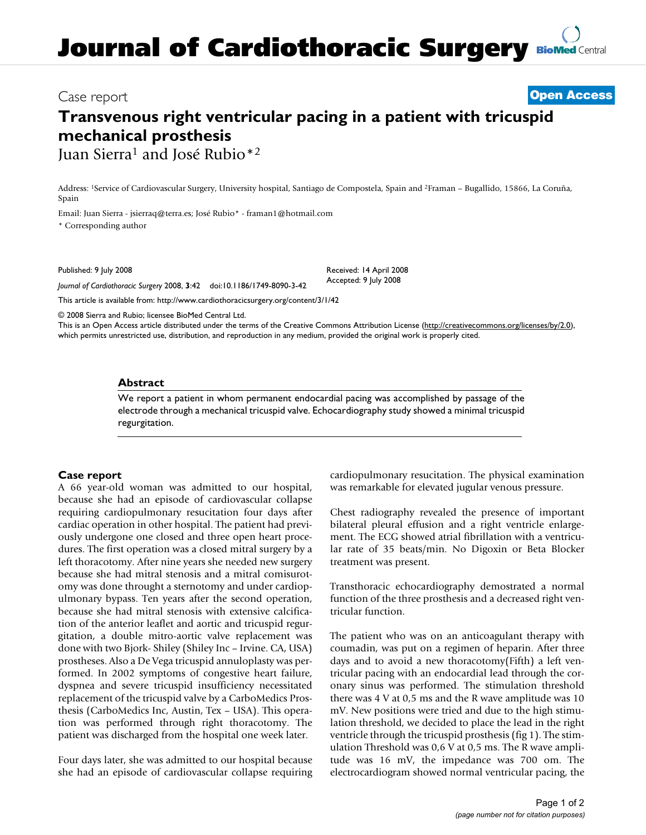# **Journal of Cardiothoracic Surgery [BioMed](http://www.biomedcentral.com/) Central**

### Case report **[Open Access](http://www.biomedcentral.com/info/about/charter/)**

## **Transvenous right ventricular pacing in a patient with tricuspid mechanical prosthesis** Juan Sierra<sup>1</sup> and José Rubio<sup>\*2</sup>

Address: 1Service of Cardiovascular Surgery, University hospital, Santiago de Compostela, Spain and 2Framan – Bugallido, 15866, La Coruña, Spain

Email: Juan Sierra - jsierraq@terra.es; José Rubio\* - framan1@hotmail.com

\* Corresponding author

Published: 9 July 2008

*Journal of Cardiothoracic Surgery* 2008, **3**:42 doi:10.1186/1749-8090-3-42

[This article is available from: http://www.cardiothoracicsurgery.org/content/3/1/42](http://www.cardiothoracicsurgery.org/content/3/1/42)

© 2008 Sierra and Rubio; licensee BioMed Central Ltd.

This is an Open Access article distributed under the terms of the Creative Commons Attribution License [\(http://creativecommons.org/licenses/by/2.0\)](http://creativecommons.org/licenses/by/2.0), which permits unrestricted use, distribution, and reproduction in any medium, provided the original work is properly cited.

Received: 14 April 2008 Accepted: 9 July 2008

#### **Abstract**

We report a patient in whom permanent endocardial pacing was accomplished by passage of the electrode through a mechanical tricuspid valve. Echocardiography study showed a minimal tricuspid regurgitation.

#### **Case report**

A 66 year-old woman was admitted to our hospital, because she had an episode of cardiovascular collapse requiring cardiopulmonary resucitation four days after cardiac operation in other hospital. The patient had previously undergone one closed and three open heart procedures. The first operation was a closed mitral surgery by a left thoracotomy. After nine years she needed new surgery because she had mitral stenosis and a mitral comisurotomy was done throught a sternotomy and under cardiopulmonary bypass. Ten years after the second operation, because she had mitral stenosis with extensive calcification of the anterior leaflet and aortic and tricuspid regurgitation, a double mitro-aortic valve replacement was done with two Bjork- Shiley (Shiley Inc – Irvine. CA, USA) prostheses. Also a De Vega tricuspid annuloplasty was performed. In 2002 symptoms of congestive heart failure, dyspnea and severe tricuspid insufficiency necessitated replacement of the tricuspid valve by a CarboMedics Prosthesis (CarboMedics Inc, Austin, Tex – USA). This operation was performed through right thoracotomy. The patient was discharged from the hospital one week later.

Four days later, she was admitted to our hospital because she had an episode of cardiovascular collapse requiring cardiopulmonary resucitation. The physical examination was remarkable for elevated jugular venous pressure.

Chest radiography revealed the presence of important bilateral pleural effusion and a right ventricle enlargement. The ECG showed atrial fibrillation with a ventricular rate of 35 beats/min. No Digoxin or Beta Blocker treatment was present.

Transthoracic echocardiography demostrated a normal function of the three prosthesis and a decreased right ventricular function.

The patient who was on an anticoagulant therapy with coumadin, was put on a regimen of heparin. After three days and to avoid a new thoracotomy(Fifth) a left ventricular pacing with an endocardial lead through the coronary sinus was performed. The stimulation threshold there was 4 V at 0,5 ms and the R wave amplitude was 10 mV. New positions were tried and due to the high stimulation threshold, we decided to place the lead in the right ventricle through the tricuspid prosthesis (fig 1). The stimulation Threshold was 0,6 V at 0,5 ms. The R wave amplitude was 16 mV, the impedance was 700 om. The electrocardiogram showed normal ventricular pacing, the